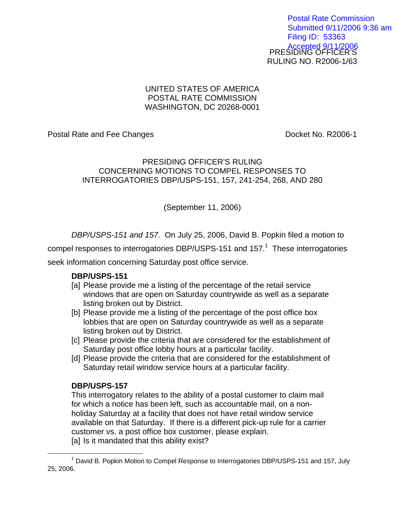PRESIDING OFFICER'S RULING NO. R2006-1/63 Postal Rate Commission Submitted 9/11/2006 9:36 am Filing ID: 53363 Accepted 9/11/2006

## UNITED STATES OF AMERICA POSTAL RATE COMMISSION WASHINGTON, DC 20268-0001

Postal Rate and Fee Changes **Docket No. R2006-1** 

## PRESIDING OFFICER'S RULING CONCERNING MOTIONS TO COMPEL RESPONSES TO INTERROGATORIES DBP/USPS-151, 157, 241-254, 268, AND 280

(September 11, 2006)

DBP/USPS-151 and 157. On July 25, 2006, David B. Popkin filed a motion to

compel responses to interrogatories DBP/USPS-[1](#page-0-0)51 and 157. $1$  These interrogatories

seek information concerning Saturday post office service.

## **DBP/USPS-151**

- [a] Please provide me a listing of the percentage of the retail service windows that are open on Saturday countrywide as well as a separate listing broken out by District.
- [b] Please provide me a listing of the percentage of the post office box lobbies that are open on Saturday countrywide as well as a separate listing broken out by District.
- [c] Please provide the criteria that are considered for the establishment of Saturday post office lobby hours at a particular facility.
- [d] Please provide the criteria that are considered for the establishment of Saturday retail window service hours at a particular facility.

# **DBP/USPS-157**

This interrogatory relates to the ability of a postal customer to claim mail for which a notice has been left, such as accountable mail, on a nonholiday Saturday at a facility that does not have retail window service available on that Saturday. If there is a different pick-up rule for a carrier customer vs. a post office box customer, please explain. [a] Is it mandated that this ability exist?

<span id="page-0-0"></span> $\overline{\phantom{a}}$  1  $1$  David B. Popkin Motion to Compel Response to Interrogatories DBP/USPS-151 and 157, July 25, 2006.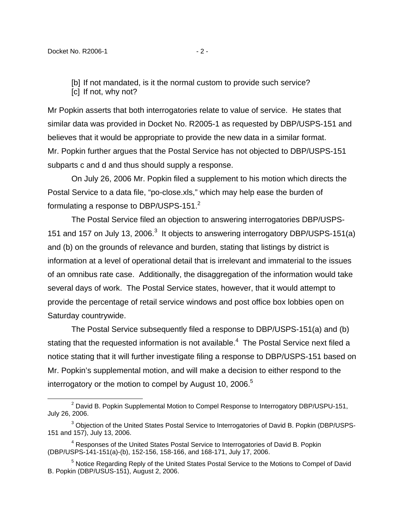[b] If not mandated, is it the normal custom to provide such service?

[c] If not, why not?

Mr Popkin asserts that both interrogatories relate to value of service. He states that similar data was provided in Docket No. R2005-1 as requested by DBP/USPS-151 and believes that it would be appropriate to provide the new data in a similar format. Mr. Popkin further argues that the Postal Service has not objected to DBP/USPS-151 subparts c and d and thus should supply a response.

On July 26, 2006 Mr. Popkin filed a supplement to his motion which directs the Postal Service to a data file, "po-close.xls," which may help ease the burden of formulating a response to DBP/USPS-151.<sup>[2](#page-1-0)</sup>

The Postal Service filed an objection to answering interrogatories DBP/USPS-151 and 157 on July 1[3](#page-1-1), 2006. $3$  It objects to answering interrogatory DBP/USPS-151(a) and (b) on the grounds of relevance and burden, stating that listings by district is information at a level of operational detail that is irrelevant and immaterial to the issues of an omnibus rate case. Additionally, the disaggregation of the information would take several days of work. The Postal Service states, however, that it would attempt to provide the percentage of retail service windows and post office box lobbies open on Saturday countrywide.

The Postal Service subsequently filed a response to DBP/USPS-151(a) and (b) stating that the requested information is not available. $4$  The Postal Service next filed a notice stating that it will further investigate filing a response to DBP/USPS-151 based on Mr. Popkin's supplemental motion, and will make a decision to either respond to the interrogatory or the motion to compel by August 10, 2006.<sup>5</sup>

<span id="page-1-0"></span><sup>&</sup>lt;sup>2</sup> David B. Popkin Supplemental Motion to Compel Response to Interrogatory DBP/USPU-151, July 26, 2006.

<span id="page-1-1"></span> $^3$  Objection of the United States Postal Service to Interrogatories of David B. Popkin (DBP/USPS-151 and 157), July 13, 2006.

<span id="page-1-2"></span><sup>&</sup>lt;sup>4</sup> Responses of the United States Postal Service to Interrogatories of David B. Popkin (DBP/USPS-141-151(a)-(b), 152-156, 158-166, and 168-171, July 17, 2006.

<span id="page-1-3"></span><sup>&</sup>lt;sup>5</sup> Notice Regarding Reply of the United States Postal Service to the Motions to Compel of David B. Popkin (DBP/USUS-151), August 2, 2006.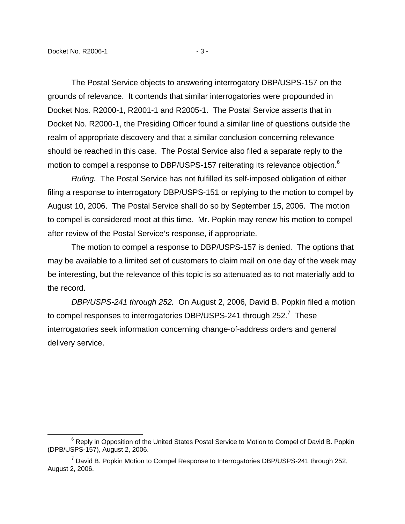1

The Postal Service objects to answering interrogatory DBP/USPS-157 on the grounds of relevance. It contends that similar interrogatories were propounded in Docket Nos. R2000-1, R2001-1 and R2005-1. The Postal Service asserts that in Docket No. R2000-1, the Presiding Officer found a similar line of questions outside the realm of appropriate discovery and that a similar conclusion concerning relevance should be reached in this case. The Postal Service also filed a separate reply to the motion to compel a response to DBP/USPS-157 reiterating its relevance objection.<sup>[6](#page-2-0)</sup>

Ruling. The Postal Service has not fulfilled its self-imposed obligation of either filing a response to interrogatory DBP/USPS-151 or replying to the motion to compel by August 10, 2006. The Postal Service shall do so by September 15, 2006. The motion to compel is considered moot at this time. Mr. Popkin may renew his motion to compel after review of the Postal Service's response, if appropriate.

The motion to compel a response to DBP/USPS-157 is denied. The options that may be available to a limited set of customers to claim mail on one day of the week may be interesting, but the relevance of this topic is so attenuated as to not materially add to the record.

DBP/USPS-241 through 252. On August 2, 2006, David B. Popkin filed a motion to compel responses to interrogatories DBP/USPS-241 through 252.<sup>[7](#page-2-1)</sup> These interrogatories seek information concerning change-of-address orders and general delivery service.

<span id="page-2-0"></span><sup>&</sup>lt;sup>6</sup> Reply in Opposition of the United States Postal Service to Motion to Compel of David B. Popkin (DPB/USPS-157), August 2, 2006.

<span id="page-2-1"></span><sup>&</sup>lt;sup>7</sup> David B. Popkin Motion to Compel Response to Interrogatories DBP/USPS-241 through 252, August 2, 2006.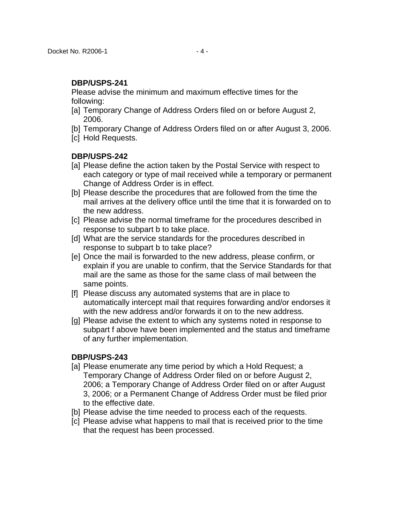Please advise the minimum and maximum effective times for the following:

- [a] Temporary Change of Address Orders filed on or before August 2, 2006.
- [b] Temporary Change of Address Orders filed on or after August 3, 2006.
- [c] Hold Requests.

#### **DBP/USPS-242**

- [a] Please define the action taken by the Postal Service with respect to each category or type of mail received while a temporary or permanent Change of Address Order is in effect.
- [b] Please describe the procedures that are followed from the time the mail arrives at the delivery office until the time that it is forwarded on to the new address.
- [c] Please advise the normal timeframe for the procedures described in response to subpart b to take place.
- [d] What are the service standards for the procedures described in response to subpart b to take place?
- [e] Once the mail is forwarded to the new address, please confirm, or explain if you are unable to confirm, that the Service Standards for that mail are the same as those for the same class of mail between the same points.
- [f] Please discuss any automated systems that are in place to automatically intercept mail that requires forwarding and/or endorses it with the new address and/or forwards it on to the new address.
- [g] Please advise the extent to which any systems noted in response to subpart f above have been implemented and the status and timeframe of any further implementation.

### **DBP/USPS-243**

- [a] Please enumerate any time period by which a Hold Request; a Temporary Change of Address Order filed on or before August 2, 2006; a Temporary Change of Address Order filed on or after August 3, 2006; or a Permanent Change of Address Order must be filed prior to the effective date.
- [b] Please advise the time needed to process each of the requests.
- [c] Please advise what happens to mail that is received prior to the time that the request has been processed.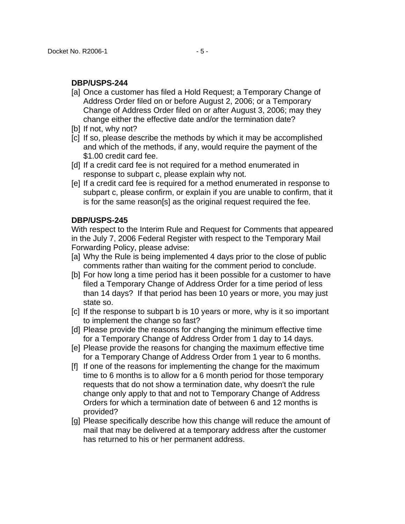- [a] Once a customer has filed a Hold Request; a Temporary Change of Address Order filed on or before August 2, 2006; or a Temporary Change of Address Order filed on or after August 3, 2006; may they change either the effective date and/or the termination date?
- [b] If not, why not?
- [c] If so, please describe the methods by which it may be accomplished and which of the methods, if any, would require the payment of the \$1.00 credit card fee.
- [d] If a credit card fee is not required for a method enumerated in response to subpart c, please explain why not.
- [e] If a credit card fee is required for a method enumerated in response to subpart c, please confirm, or explain if you are unable to confirm, that it is for the same reason[s] as the original request required the fee.

### **DBP/USPS-245**

With respect to the Interim Rule and Request for Comments that appeared in the July 7, 2006 Federal Register with respect to the Temporary Mail Forwarding Policy, please advise:

- [a] Why the Rule is being implemented 4 days prior to the close of public comments rather than waiting for the comment period to conclude.
- [b] For how long a time period has it been possible for a customer to have filed a Temporary Change of Address Order for a time period of less than 14 days? If that period has been 10 years or more, you may just state so.
- [c] If the response to subpart b is 10 years or more, why is it so important to implement the change so fast?
- [d] Please provide the reasons for changing the minimum effective time for a Temporary Change of Address Order from 1 day to 14 days.
- [e] Please provide the reasons for changing the maximum effective time for a Temporary Change of Address Order from 1 year to 6 months.
- [f] If one of the reasons for implementing the change for the maximum time to 6 months is to allow for a 6 month period for those temporary requests that do not show a termination date, why doesn't the rule change only apply to that and not to Temporary Change of Address Orders for which a termination date of between 6 and 12 months is provided?
- [g] Please specifically describe how this change will reduce the amount of mail that may be delivered at a temporary address after the customer has returned to his or her permanent address.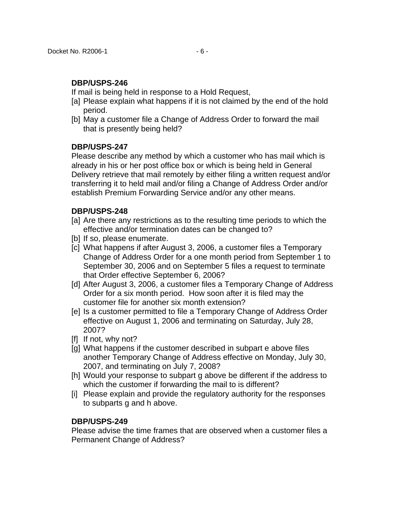If mail is being held in response to a Hold Request,

- [a] Please explain what happens if it is not claimed by the end of the hold period.
- [b] May a customer file a Change of Address Order to forward the mail that is presently being held?

## **DBP/USPS-247**

Please describe any method by which a customer who has mail which is already in his or her post office box or which is being held in General Delivery retrieve that mail remotely by either filing a written request and/or transferring it to held mail and/or filing a Change of Address Order and/or establish Premium Forwarding Service and/or any other means.

## **DBP/USPS-248**

- [a] Are there any restrictions as to the resulting time periods to which the effective and/or termination dates can be changed to?
- [b] If so, please enumerate.
- [c] What happens if after August 3, 2006, a customer files a Temporary Change of Address Order for a one month period from September 1 to September 30, 2006 and on September 5 files a request to terminate that Order effective September 6, 2006?
- [d] After August 3, 2006, a customer files a Temporary Change of Address Order for a six month period. How soon after it is filed may the customer file for another six month extension?
- [e] Is a customer permitted to file a Temporary Change of Address Order effective on August 1, 2006 and terminating on Saturday, July 28, 2007?
- [f] If not, why not?
- [g] What happens if the customer described in subpart e above files another Temporary Change of Address effective on Monday, July 30, 2007, and terminating on July 7, 2008?
- [h] Would your response to subpart g above be different if the address to which the customer if forwarding the mail to is different?
- [i] Please explain and provide the regulatory authority for the responses to subparts g and h above.

### **DBP/USPS-249**

Please advise the time frames that are observed when a customer files a Permanent Change of Address?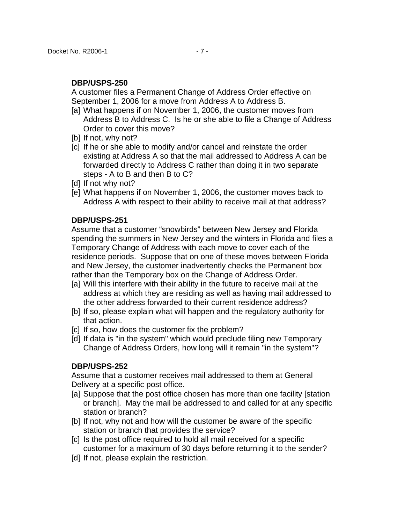A customer files a Permanent Change of Address Order effective on September 1, 2006 for a move from Address A to Address B.

- [a] What happens if on November 1, 2006, the customer moves from Address B to Address C. Is he or she able to file a Change of Address Order to cover this move?
- [b] If not, why not?
- [c] If he or she able to modify and/or cancel and reinstate the order existing at Address A so that the mail addressed to Address A can be forwarded directly to Address C rather than doing it in two separate steps - A to B and then B to C?
- [d] If not why not?
- [e] What happens if on November 1, 2006, the customer moves back to Address A with respect to their ability to receive mail at that address?

### **DBP/USPS-251**

Assume that a customer "snowbirds" between New Jersey and Florida spending the summers in New Jersey and the winters in Florida and files a Temporary Change of Address with each move to cover each of the residence periods. Suppose that on one of these moves between Florida and New Jersey, the customer inadvertently checks the Permanent box rather than the Temporary box on the Change of Address Order.

- [a] Will this interfere with their ability in the future to receive mail at the address at which they are residing as well as having mail addressed to the other address forwarded to their current residence address?
- [b] If so, please explain what will happen and the regulatory authority for that action.
- [c] If so, how does the customer fix the problem?
- [d] If data is "in the system" which would preclude filing new Temporary Change of Address Orders, how long will it remain "in the system"?

#### **DBP/USPS-252**

Assume that a customer receives mail addressed to them at General Delivery at a specific post office.

- [a] Suppose that the post office chosen has more than one facility [station or branch]. May the mail be addressed to and called for at any specific station or branch?
- [b] If not, why not and how will the customer be aware of the specific station or branch that provides the service?
- [c] Is the post office required to hold all mail received for a specific customer for a maximum of 30 days before returning it to the sender?
- [d] If not, please explain the restriction.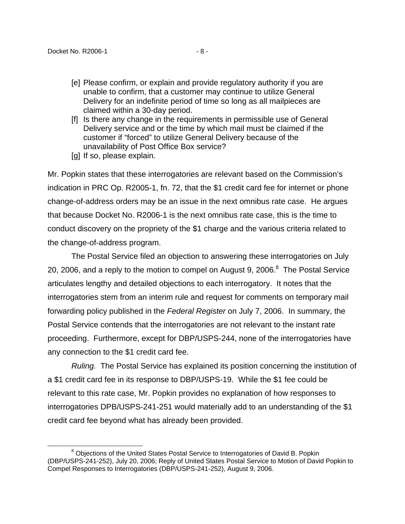- [e] Please confirm, or explain and provide regulatory authority if you are unable to confirm, that a customer may continue to utilize General Delivery for an indefinite period of time so long as all mailpieces are claimed within a 30-day period.
- [f] Is there any change in the requirements in permissible use of General Delivery service and or the time by which mail must be claimed if the customer if "forced" to utilize General Delivery because of the unavailability of Post Office Box service?
- [g] If so, please explain.

Mr. Popkin states that these interrogatories are relevant based on the Commission's indication in PRC Op. R2005-1, fn. 72, that the \$1 credit card fee for internet or phone change-of-address orders may be an issue in the next omnibus rate case. He argues that because Docket No. R2006-1 is the next omnibus rate case, this is the time to conduct discovery on the propriety of the \$1 charge and the various criteria related to the change-of-address program.

The Postal Service filed an objection to answering these interrogatories on July 20, 2006, and a reply to the motion to compel on August 9, 2006. $8$  The Postal Service articulates lengthy and detailed objections to each interrogatory. It notes that the interrogatories stem from an interim rule and request for comments on temporary mail forwarding policy published in the Federal Register on July 7, 2006. In summary, the Postal Service contends that the interrogatories are not relevant to the instant rate proceeding. Furthermore, except for DBP/USPS-244, none of the interrogatories have any connection to the \$1 credit card fee.

Ruling. The Postal Service has explained its position concerning the institution of a \$1 credit card fee in its response to DBP/USPS-19. While the \$1 fee could be relevant to this rate case, Mr. Popkin provides no explanation of how responses to interrogatories DPB/USPS-241-251 would materially add to an understanding of the \$1 credit card fee beyond what has already been provided.

<span id="page-7-0"></span><sup>&</sup>lt;sup>8</sup> Objections of the United States Postal Service to Interrogatories of David B. Popkin (DBP/USPS-241-252), July 20, 2006; Reply of United States Postal Service to Motion of David Popkin to Compel Responses to Interrogatories (DBP/USPS-241-252), August 9, 2006.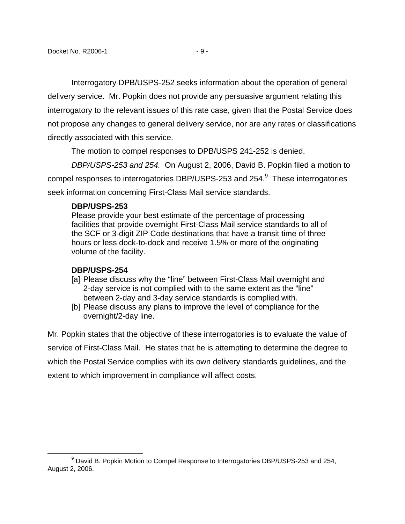Interrogatory DPB/USPS-252 seeks information about the operation of general delivery service. Mr. Popkin does not provide any persuasive argument relating this interrogatory to the relevant issues of this rate case, given that the Postal Service does not propose any changes to general delivery service, nor are any rates or classifications directly associated with this service.

The motion to compel responses to DPB/USPS 241-252 is denied.

DBP/USPS-253 and 254. On August 2, 2006, David B. Popkin filed a motion to compel responses to interrogatories DBP/USPS-253 and 254. $^9$  $^9$  These interrogatories seek information concerning First-Class Mail service standards.

### **DBP/USPS-253**

Please provide your best estimate of the percentage of processing facilities that provide overnight First-Class Mail service standards to all of the SCF or 3-digit ZIP Code destinations that have a transit time of three hours or less dock-to-dock and receive 1.5% or more of the originating volume of the facility.

### **DBP/USPS-254**

 $\overline{a}$ 

- [a] Please discuss why the "line" between First-Class Mail overnight and 2-day service is not complied with to the same extent as the "line" between 2-day and 3-day service standards is complied with.
- [b] Please discuss any plans to improve the level of compliance for the overnight/2-day line.

Mr. Popkin states that the objective of these interrogatories is to evaluate the value of service of First-Class Mail. He states that he is attempting to determine the degree to which the Postal Service complies with its own delivery standards guidelines, and the extent to which improvement in compliance will affect costs.

<span id="page-8-0"></span><sup>&</sup>lt;sup>9</sup> David B. Popkin Motion to Compel Response to Interrogatories DBP/USPS-253 and 254, August 2, 2006.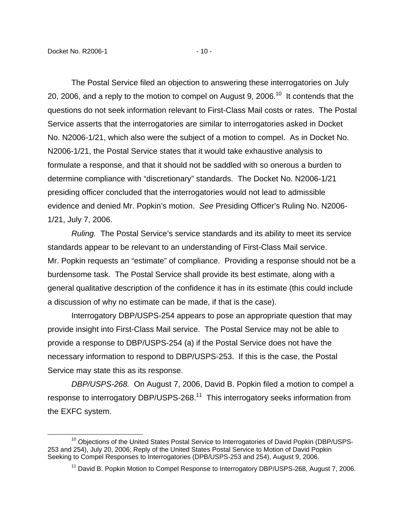The Postal Service filed an objection to answering these interrogatories on July 20, 2006, and a reply to the motion to compel on August 9, 2006.<sup>10</sup> It contends that the questions do not seek information relevant to First-Class Mail costs or rates. The Postal Service asserts that the interrogatories are similar to interrogatories asked in Docket No. N2006-1/21, which also were the subject of a motion to compel. As in Docket No. N2006-1/21, the Postal Service states that it would take exhaustive analysis to formulate a response, and that it should not be saddled with so onerous a burden to determine compliance with "discretionary" standards. The Docket No. N2006-1/21 presiding officer concluded that the interrogatories would not lead to admissible evidence and denied Mr. Popkin's motion. See Presiding Officer's Ruling No. N2006- 1/21, July 7, 2006.

Ruling. The Postal Service's service standards and its ability to meet its service standards appear to be relevant to an understanding of First-Class Mail service. Mr. Popkin requests an "estimate" of compliance. Providing a response should not be a burdensome task. The Postal Service shall provide its best estimate, along with a general qualitative description of the confidence it has in its estimate (this could include a discussion of why no estimate can be made, if that is the case).

Interrogatory DBP/USPS-254 appears to pose an appropriate question that may provide insight into First-Class Mail service. The Postal Service may not be able to provide a response to DBP/USPS-254 (a) if the Postal Service does not have the necessary information to respond to DBP/USPS-253. If this is the case, the Postal Service may state this as its response.

DBP/USPS-268. On August 7, 2006, David B. Popkin filed a motion to compel a response to interrogatory DBP/USPS-268.[11](#page-9-1) This interrogatory seeks information from the EXFC system.

<sup>&</sup>lt;sup>10</sup> Obiections of the United States Postal Service to Interrogatories of David Popkin (DBP/USPS-253 and 254), July 20, 2006; Reply of the United States Postal Service to Motion of David Popkin Seeking to Compel Responses to Interrogatories (DPB/USPS-253 and 254), August 9, 2006.

<span id="page-9-1"></span><span id="page-9-0"></span><sup>&</sup>lt;sup>11</sup> David B. Popkin Motion to Compel Response to Interrogatory DBP/USPS-268, August 7, 2006.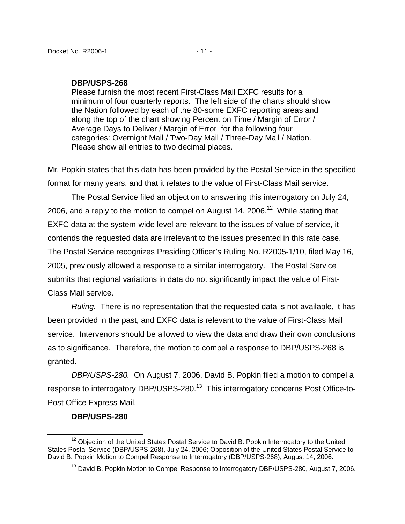Please furnish the most recent First-Class Mail EXFC results for a minimum of four quarterly reports. The left side of the charts should show the Nation followed by each of the 80-some EXFC reporting areas and along the top of the chart showing Percent on Time / Margin of Error / Average Days to Deliver / Margin of Error for the following four categories: Overnight Mail / Two-Day Mail / Three-Day Mail / Nation. Please show all entries to two decimal places.

Mr. Popkin states that this data has been provided by the Postal Service in the specified format for many years, and that it relates to the value of First-Class Mail service.

The Postal Service filed an objection to answering this interrogatory on July 24, 2006, and a reply to the motion to compel on August 14, 2006.<sup>12</sup> While stating that EXFC data at the system-wide level are relevant to the issues of value of service, it contends the requested data are irrelevant to the issues presented in this rate case. The Postal Service recognizes Presiding Officer's Ruling No. R2005-1/10, filed May 16, 2005, previously allowed a response to a similar interrogatory. The Postal Service submits that regional variations in data do not significantly impact the value of First-Class Mail service.

Ruling. There is no representation that the requested data is not available, it has been provided in the past, and EXFC data is relevant to the value of First-Class Mail service. Intervenors should be allowed to view the data and draw their own conclusions as to significance. Therefore, the motion to compel a response to DBP/USPS-268 is granted.

DBP/USPS-280. On August 7, 2006, David B. Popkin filed a motion to compel a response to interrogatory DBP/USPS-280.<sup>13</sup> This interrogatory concerns Post Office-to-Post Office Express Mail.

#### <span id="page-10-0"></span>**DBP/USPS-280**

 $\overline{a}$ 

<sup>&</sup>lt;sup>12</sup> Obiection of the United States Postal Service to David B. Popkin Interrogatory to the United States Postal Service (DBP/USPS-268), July 24, 2006; Opposition of the United States Postal Service to David B. Popkin Motion to Compel Response to Interrogatory (DBP/USPS-268), August 14, 2006.

<span id="page-10-1"></span><sup>&</sup>lt;sup>13</sup> David B. Popkin Motion to Compel Response to Interrogatory DBP/USPS-280, August 7, 2006.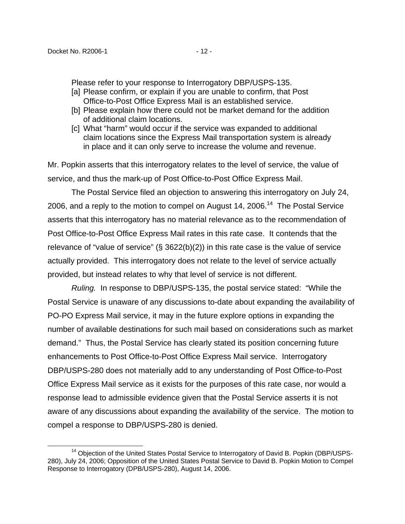Please refer to your response to Interrogatory DBP/USPS-135.

- [a] Please confirm, or explain if you are unable to confirm, that Post Office-to-Post Office Express Mail is an established service.
- [b] Please explain how there could not be market demand for the addition of additional claim locations.
- [c] What "harm" would occur if the service was expanded to additional claim locations since the Express Mail transportation system is already in place and it can only serve to increase the volume and revenue.

Mr. Popkin asserts that this interrogatory relates to the level of service, the value of service, and thus the mark-up of Post Office-to-Post Office Express Mail.

The Postal Service filed an objection to answering this interrogatory on July 24, 2006, and a reply to the motion to compel on August 14, 2006.<sup>14</sup> The Postal Service asserts that this interrogatory has no material relevance as to the recommendation of Post Office-to-Post Office Express Mail rates in this rate case. It contends that the relevance of "value of service"  $(\S$  3622(b)(2)) in this rate case is the value of service actually provided. This interrogatory does not relate to the level of service actually provided, but instead relates to why that level of service is not different.

Ruling. In response to DBP/USPS-135, the postal service stated: "While the Postal Service is unaware of any discussions to-date about expanding the availability of PO-PO Express Mail service, it may in the future explore options in expanding the number of available destinations for such mail based on considerations such as market demand." Thus, the Postal Service has clearly stated its position concerning future enhancements to Post Office-to-Post Office Express Mail service. Interrogatory DBP/USPS-280 does not materially add to any understanding of Post Office-to-Post Office Express Mail service as it exists for the purposes of this rate case, nor would a response lead to admissible evidence given that the Postal Service asserts it is not aware of any discussions about expanding the availability of the service. The motion to compel a response to DBP/USPS-280 is denied.

<span id="page-11-0"></span><sup>&</sup>lt;sup>14</sup> Objection of the United States Postal Service to Interrogatory of David B. Popkin (DBP/USPS-280), July 24, 2006; Opposition of the United States Postal Service to David B. Popkin Motion to Compel Response to Interrogatory (DPB/USPS-280), August 14, 2006.